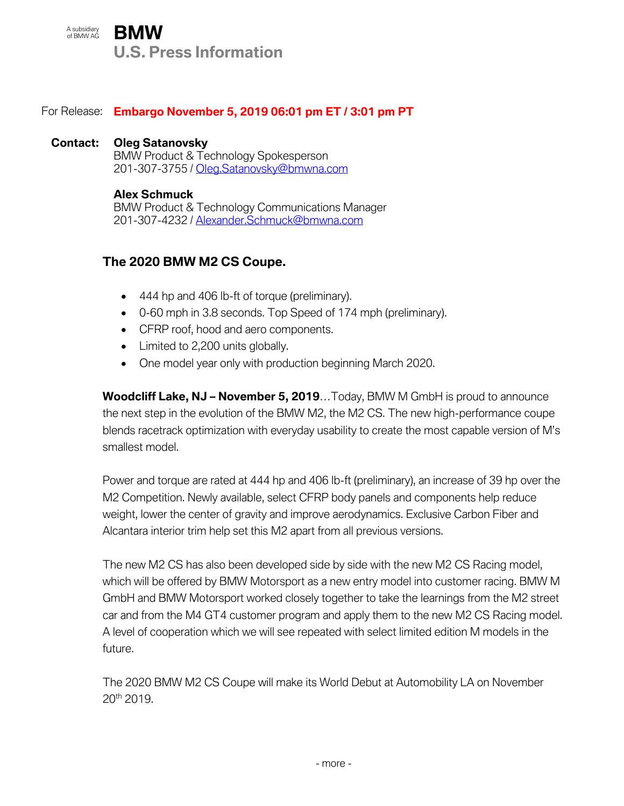A subsidiary A subsidiary **BMW U.S. Press Information**

# For Release: **Embargo November 5, 2019 06:01 pm ET / 3:01 pm PT**

#### **Contact: Oleg Satanovsky**

BMW Product & Technology Spokesperson 201-307-3755 / Oleg.Satanovsky@bmwna.com

#### **Alex Schmuck**

BMW Product & Technology Communications Manager 201-307-4232 / [Alexander.Schmuck@bmwna.com](mailto:Alexander.Schmuck@bmwna.com)

# **The 2020 BMW M2 CS Coupe.**

- 444 hp and 406 lb-ft of torque (preliminary).
- 0-60 mph in 3.8 seconds. Top Speed of 174 mph (preliminary).
- CFRP roof, hood and aero components.
- Limited to 2,200 units globally.
- One model year only with production beginning March 2020.

**Woodcliff Lake, NJ – November 5, 2019**…Today, BMW M GmbH is proud to announce the next step in the evolution of the BMW M2, the M2 CS. The new high-performance coupe blends racetrack optimization with everyday usability to create the most capable version of M's smallest model.

Power and torque are rated at 444 hp and 406 lb-ft (preliminary), an increase of 39 hp over the M2 Competition. Newly available, select CFRP body panels and components help reduce weight, lower the center of gravity and improve aerodynamics. Exclusive Carbon Fiber and Alcantara interior trim help set this M2 apart from all previous versions.

The new M2 CS has also been developed side by side with the new M2 CS Racing model, which will be offered by BMW Motorsport as a new entry model into customer racing. BMW M GmbH and BMW Motorsport worked closely together to take the learnings from the M2 street car and from the M4 GT4 customer program and apply them to the new M2 CS Racing model. A level of cooperation which we will see repeated with select limited edition M models in the future.

The 2020 BMW M2 CS Coupe will make its World Debut at Automobility LA on November 20th 2019.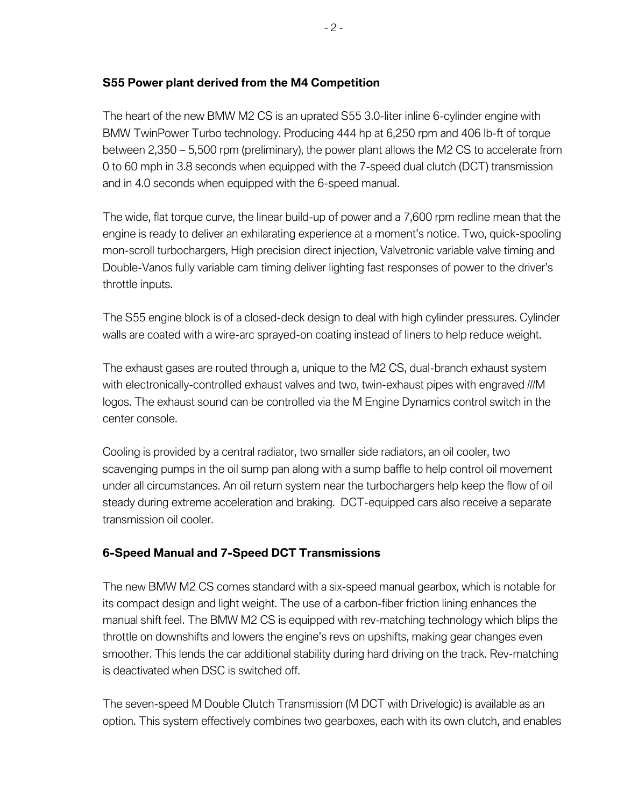# **S55 Power plant derived from the M4 Competition**

The heart of the new BMW M2 CS is an uprated S55 3.0-liter inline 6-cylinder engine with BMW TwinPower Turbo technology. Producing 444 hp at 6,250 rpm and 406 lb-ft of torque between 2,350 – 5,500 rpm (preliminary), the power plant allows the M2 CS to accelerate from 0 to 60 mph in 3.8 seconds when equipped with the 7-speed dual clutch (DCT) transmission and in 4.0 seconds when equipped with the 6-speed manual.

The wide, flat torque curve, the linear build-up of power and a 7,600 rpm redline mean that the engine is ready to deliver an exhilarating experience at a moment's notice. Two, quick-spooling mon-scroll turbochargers, High precision direct injection, Valvetronic variable valve timing and Double-Vanos fully variable cam timing deliver lighting fast responses of power to the driver's throttle inputs.

The S55 engine block is of a closed-deck design to deal with high cylinder pressures. Cylinder walls are coated with a wire-arc sprayed-on coating instead of liners to help reduce weight.

The exhaust gases are routed through a, unique to the M2 CS, dual-branch exhaust system with electronically-controlled exhaust valves and two, twin-exhaust pipes with engraved ///M logos. The exhaust sound can be controlled via the M Engine Dynamics control switch in the center console.

Cooling is provided by a central radiator, two smaller side radiators, an oil cooler, two scavenging pumps in the oil sump pan along with a sump baffle to help control oil movement under all circumstances. An oil return system near the turbochargers help keep the flow of oil steady during extreme acceleration and braking. DCT-equipped cars also receive a separate transmission oil cooler.

# **6-Speed Manual and 7-Speed DCT Transmissions**

The new BMW M2 CS comes standard with a six-speed manual gearbox, which is notable for its compact design and light weight. The use of a carbon-fiber friction lining enhances the manual shift feel. The BMW M2 CS is equipped with rev-matching technology which blips the throttle on downshifts and lowers the engine's revs on upshifts, making gear changes even smoother. This lends the car additional stability during hard driving on the track. Rev-matching is deactivated when DSC is switched off.

The seven-speed M Double Clutch Transmission (M DCT with Drivelogic) is available as an option. This system effectively combines two gearboxes, each with its own clutch, and enables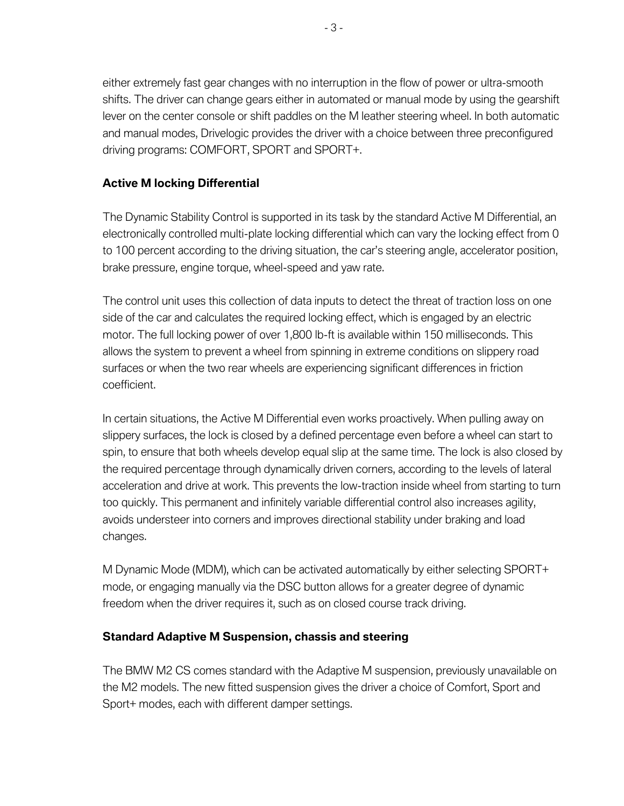either extremely fast gear changes with no interruption in the flow of power or ultra-smooth shifts. The driver can change gears either in automated or manual mode by using the gearshift lever on the center console or shift paddles on the M leather steering wheel. In both automatic and manual modes, Drivelogic provides the driver with a choice between three preconfigured driving programs: COMFORT, SPORT and SPORT+.

## **Active M locking Differential**

The Dynamic Stability Control is supported in its task by the standard Active M Differential, an electronically controlled multi-plate locking differential which can vary the locking effect from 0 to 100 percent according to the driving situation, the car's steering angle, accelerator position, brake pressure, engine torque, wheel-speed and yaw rate.

The control unit uses this collection of data inputs to detect the threat of traction loss on one side of the car and calculates the required locking effect, which is engaged by an electric motor. The full locking power of over 1,800 lb-ft is available within 150 milliseconds. This allows the system to prevent a wheel from spinning in extreme conditions on slippery road surfaces or when the two rear wheels are experiencing significant differences in friction coefficient.

In certain situations, the Active M Differential even works proactively. When pulling away on slippery surfaces, the lock is closed by a defined percentage even before a wheel can start to spin, to ensure that both wheels develop equal slip at the same time. The lock is also closed by the required percentage through dynamically driven corners, according to the levels of lateral acceleration and drive at work. This prevents the low-traction inside wheel from starting to turn too quickly. This permanent and infinitely variable differential control also increases agility, avoids understeer into corners and improves directional stability under braking and load changes.

M Dynamic Mode (MDM), which can be activated automatically by either selecting SPORT+ mode, or engaging manually via the DSC button allows for a greater degree of dynamic freedom when the driver requires it, such as on closed course track driving.

#### **Standard Adaptive M Suspension, chassis and steering**

The BMW M2 CS comes standard with the Adaptive M suspension, previously unavailable on the M2 models. The new fitted suspension gives the driver a choice of Comfort, Sport and Sport+ modes, each with different damper settings.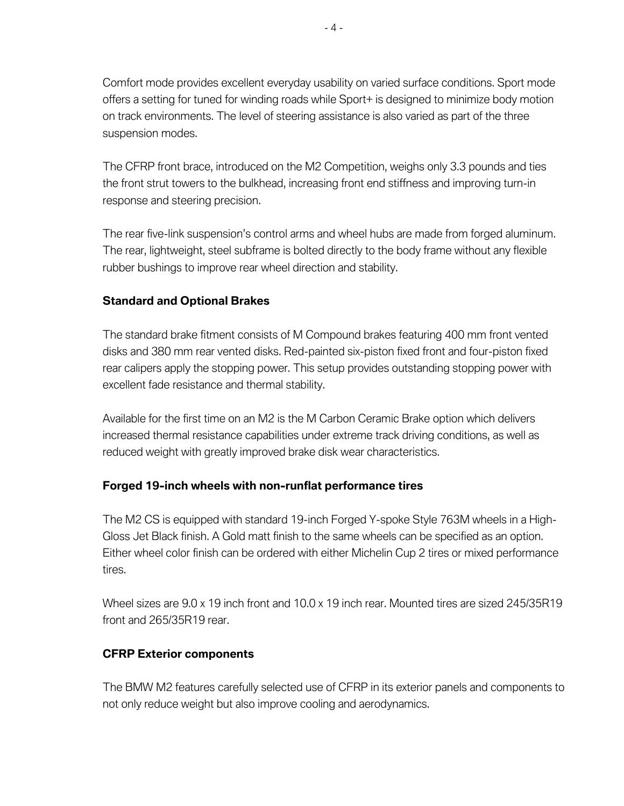Comfort mode provides excellent everyday usability on varied surface conditions. Sport mode offers a setting for tuned for winding roads while Sport+ is designed to minimize body motion on track environments. The level of steering assistance is also varied as part of the three suspension modes.

The CFRP front brace, introduced on the M2 Competition, weighs only 3.3 pounds and ties the front strut towers to the bulkhead, increasing front end stiffness and improving turn-in response and steering precision.

The rear five-link suspension's control arms and wheel hubs are made from forged aluminum. The rear, lightweight, steel subframe is bolted directly to the body frame without any flexible rubber bushings to improve rear wheel direction and stability.

## **Standard and Optional Brakes**

The standard brake fitment consists of M Compound brakes featuring 400 mm front vented disks and 380 mm rear vented disks. Red-painted six-piston fixed front and four-piston fixed rear calipers apply the stopping power. This setup provides outstanding stopping power with excellent fade resistance and thermal stability.

Available for the first time on an M2 is the M Carbon Ceramic Brake option which delivers increased thermal resistance capabilities under extreme track driving conditions, as well as reduced weight with greatly improved brake disk wear characteristics.

#### **Forged 19-inch wheels with non-runflat performance tires**

The M2 CS is equipped with standard 19-inch Forged Y-spoke Style 763M wheels in a High-Gloss Jet Black finish. A Gold matt finish to the same wheels can be specified as an option. Either wheel color finish can be ordered with either Michelin Cup 2 tires or mixed performance tires.

Wheel sizes are 9.0 x 19 inch front and 10.0 x 19 inch rear. Mounted tires are sized 245/35R19 front and 265/35R19 rear.

#### **CFRP Exterior components**

The BMW M2 features carefully selected use of CFRP in its exterior panels and components to not only reduce weight but also improve cooling and aerodynamics.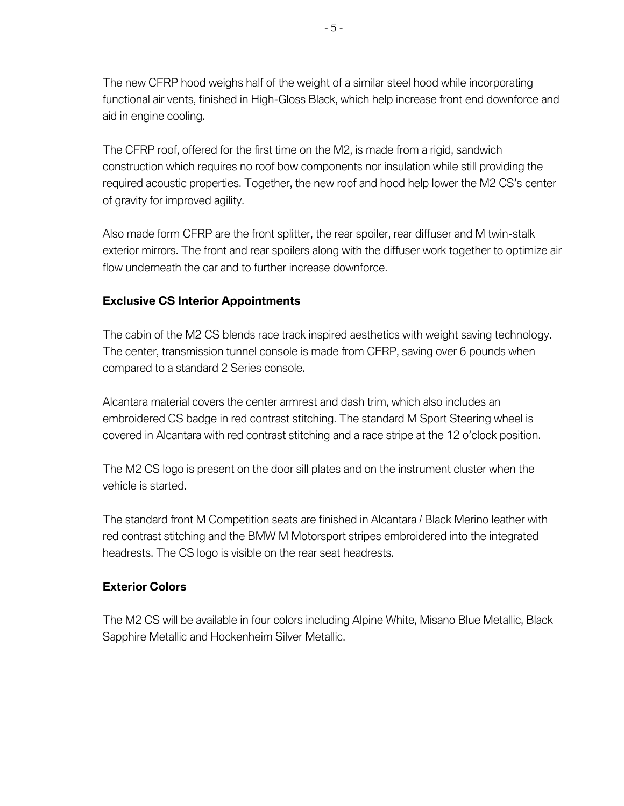The new CFRP hood weighs half of the weight of a similar steel hood while incorporating functional air vents, finished in High-Gloss Black, which help increase front end downforce and aid in engine cooling.

The CFRP roof, offered for the first time on the M2, is made from a rigid, sandwich construction which requires no roof bow components nor insulation while still providing the required acoustic properties. Together, the new roof and hood help lower the M2 CS's center of gravity for improved agility.

Also made form CFRP are the front splitter, the rear spoiler, rear diffuser and M twin-stalk exterior mirrors. The front and rear spoilers along with the diffuser work together to optimize air flow underneath the car and to further increase downforce.

## **Exclusive CS Interior Appointments**

The cabin of the M2 CS blends race track inspired aesthetics with weight saving technology. The center, transmission tunnel console is made from CFRP, saving over 6 pounds when compared to a standard 2 Series console.

Alcantara material covers the center armrest and dash trim, which also includes an embroidered CS badge in red contrast stitching. The standard M Sport Steering wheel is covered in Alcantara with red contrast stitching and a race stripe at the 12 o'clock position.

The M2 CS logo is present on the door sill plates and on the instrument cluster when the vehicle is started.

The standard front M Competition seats are finished in Alcantara / Black Merino leather with red contrast stitching and the BMW M Motorsport stripes embroidered into the integrated headrests. The CS logo is visible on the rear seat headrests.

#### **Exterior Colors**

The M2 CS will be available in four colors including Alpine White, Misano Blue Metallic, Black Sapphire Metallic and Hockenheim Silver Metallic.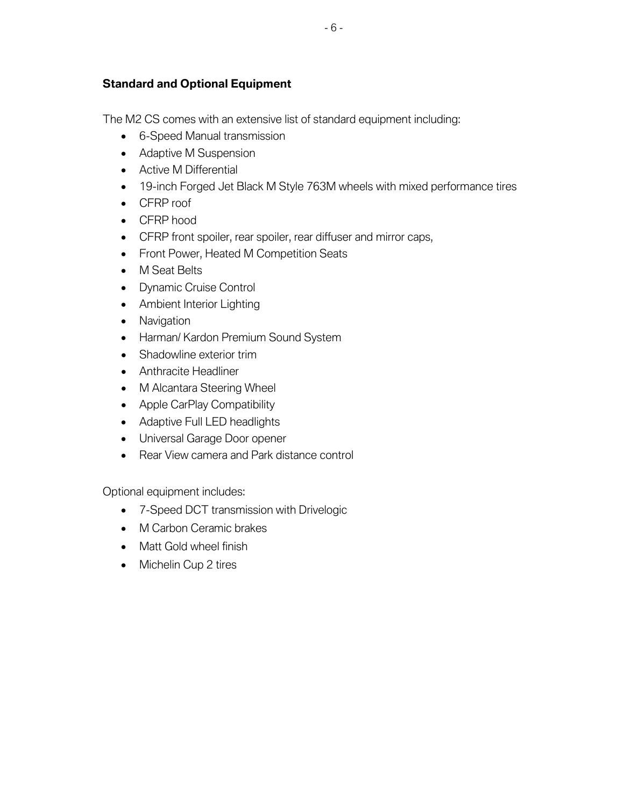# **Standard and Optional Equipment**

The M2 CS comes with an extensive list of standard equipment including:

- 6-Speed Manual transmission
- Adaptive M Suspension
- Active M Differential
- 19-inch Forged Jet Black M Style 763M wheels with mixed performance tires
- CFRP roof
- CFRP hood
- CFRP front spoiler, rear spoiler, rear diffuser and mirror caps,
- Front Power, Heated M Competition Seats
- M Seat Belts
- Dynamic Cruise Control
- Ambient Interior Lighting
- Navigation
- Harman/ Kardon Premium Sound System
- Shadowline exterior trim
- Anthracite Headliner
- M Alcantara Steering Wheel
- Apple CarPlay Compatibility
- Adaptive Full LED headlights
- Universal Garage Door opener
- Rear View camera and Park distance control

Optional equipment includes:

- 7-Speed DCT transmission with Drivelogic
- M Carbon Ceramic brakes
- Matt Gold wheel finish
- Michelin Cup 2 tires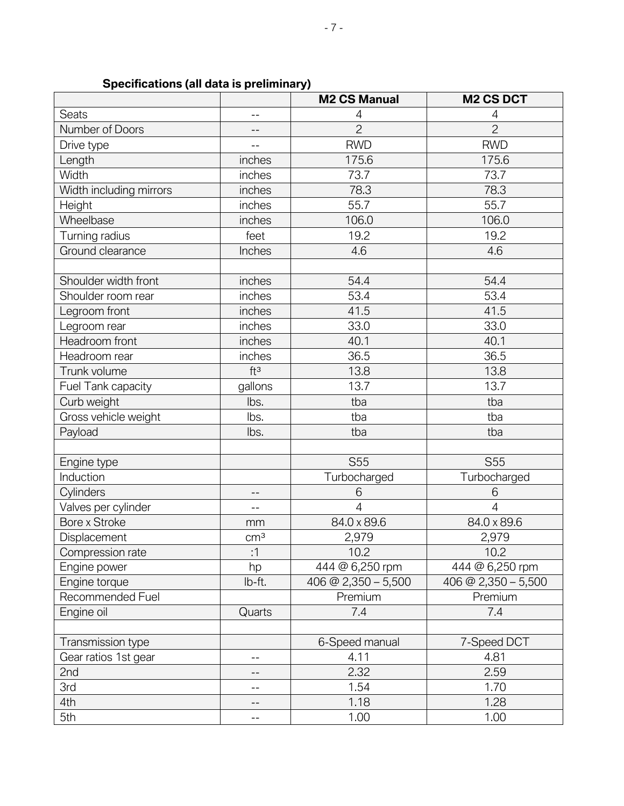|                         |                 | <b>M2 CS Manual</b>   | <b>M2 CS DCT</b>      |
|-------------------------|-----------------|-----------------------|-----------------------|
| <b>Seats</b>            | $-$             | 4                     | 4                     |
| Number of Doors         | $-$             | $\overline{2}$        | $\overline{2}$        |
| Drive type              | --              | <b>RWD</b>            | <b>RWD</b>            |
| Length                  | inches          | 175.6                 | 175.6                 |
| Width                   | inches          | 73.7                  | 73.7                  |
| Width including mirrors | inches          | 78.3                  | 78.3                  |
| Height                  | inches          | 55.7                  | 55.7                  |
| Wheelbase               | inches          | 106.0                 | 106.0                 |
| Turning radius          | feet            | 19.2                  | 19.2                  |
| Ground clearance        | Inches          | 4.6                   | 4.6                   |
|                         |                 |                       |                       |
| Shoulder width front    | inches          | 54.4                  | 54.4                  |
| Shoulder room rear      | inches          | 53.4                  | 53.4                  |
| Legroom front           | inches          | 41.5                  | 41.5                  |
| Legroom rear            | inches          | 33.0                  | 33.0                  |
| Headroom front          | inches          | 40.1                  | 40.1                  |
| Headroom rear           | inches          | 36.5                  | 36.5                  |
| Trunk volume            | ft <sup>3</sup> | 13.8                  | 13.8                  |
| Fuel Tank capacity      | gallons         | 13.7                  | 13.7                  |
| Curb weight             | lbs.            | tba                   | tba                   |
| Gross vehicle weight    | lbs.            | tba                   | tba                   |
| Payload                 | lbs.            | tba                   | tba                   |
|                         |                 |                       |                       |
| Engine type             |                 | <b>S55</b>            | S <sub>55</sub>       |
| Induction               |                 | Turbocharged          | Turbocharged          |
| Cylinders               | --              | 6                     | 6                     |
| Valves per cylinder     | $-$             | $\overline{4}$        | $\overline{4}$        |
| Bore x Stroke           | mm              | 84.0 x 89.6           | 84.0 x 89.6           |
| Displacement            | cm <sup>3</sup> | 2,979                 | 2,979                 |
| Compression rate        | :1              | 10.2                  | 10.2                  |
| Engine power            | hp              | 444 @ 6,250 rpm       | 444 @ 6,250 rpm       |
| Engine torque           | lb-ft.          | 406 @ 2,350 $-$ 5,500 | 406 @ 2,350 $-$ 5,500 |
| Recommended Fuel        |                 | Premium               | Premium               |
| Engine oil              | Quarts          | 7.4                   | 7.4                   |
|                         |                 |                       |                       |
| Transmission type       |                 | 6-Speed manual        | 7-Speed DCT           |
| Gear ratios 1st gear    | $-$             | 4.11                  | 4.81                  |
| 2nd                     | $-$             | 2.32                  | 2.59                  |
| 3rd                     | --              | 1.54                  | 1.70                  |
| 4th                     | --              | 1.18                  | 1.28                  |
| 5th                     | --              | 1.00                  | 1.00                  |

# **Specifications (all data is preliminary)**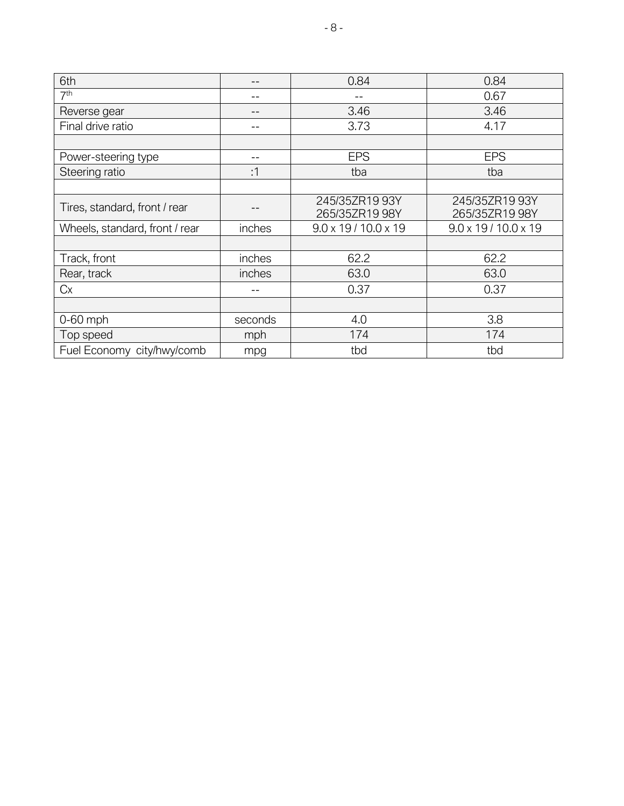| 6th                            | --      | 0.84                             | 0.84                             |
|--------------------------------|---------|----------------------------------|----------------------------------|
| 7 <sup>th</sup>                | --      |                                  | 0.67                             |
| Reverse gear                   | --      | 3.46                             | 3.46                             |
| Final drive ratio              | --      | 3.73                             | 4.17                             |
|                                |         |                                  |                                  |
| Power-steering type            | --      | <b>EPS</b>                       | <b>EPS</b>                       |
| Steering ratio                 | :1      | tba                              | tba                              |
|                                |         |                                  |                                  |
| Tires, standard, front / rear  |         | 245/35ZR19 93Y<br>265/35ZR19 98Y | 245/35ZR19 93Y<br>265/35ZR19 98Y |
| Wheels, standard, front / rear | inches  | $9.0 \times 19 / 10.0 \times 19$ | $9.0 \times 19 / 10.0 \times 19$ |
|                                |         |                                  |                                  |
| Track, front                   | inches  | 62.2                             | 62.2                             |
| Rear, track                    | inches  | 63.0                             | 63.0                             |
| Cx                             |         | 0.37                             | 0.37                             |
|                                |         |                                  |                                  |
| $0-60$ mph                     | seconds | 4.0                              | 3.8                              |
| Top speed                      | mph     | 174                              | 174                              |
| Fuel Economy city/hwy/comb     | mpg     | tbd                              | tbd                              |